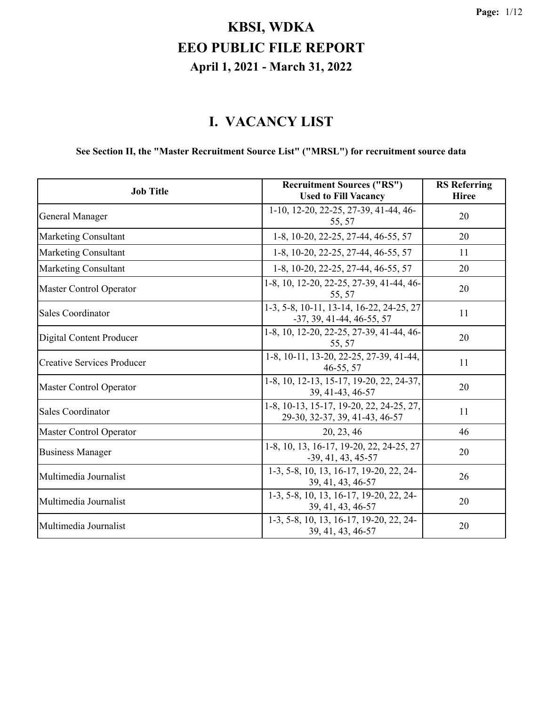#### **I. VACANCY LIST**

#### **See Section II, the "Master Recruitment Source List" ("MRSL") for recruitment source data**

| <b>Job Title</b>                  | <b>Recruitment Sources ("RS")</b><br><b>Used to Fill Vacancy</b>           | <b>RS</b> Referring<br><b>Hiree</b> |
|-----------------------------------|----------------------------------------------------------------------------|-------------------------------------|
| General Manager                   | 1-10, 12-20, 22-25, 27-39, 41-44, 46-<br>55, 57                            | 20                                  |
| <b>Marketing Consultant</b>       | 1-8, 10-20, 22-25, 27-44, 46-55, 57                                        | 20                                  |
| <b>Marketing Consultant</b>       | 1-8, 10-20, 22-25, 27-44, 46-55, 57                                        | 11                                  |
| <b>Marketing Consultant</b>       | 1-8, 10-20, 22-25, 27-44, 46-55, 57                                        | 20                                  |
| Master Control Operator           | 1-8, 10, 12-20, 22-25, 27-39, 41-44, 46-<br>55, 57                         | 20                                  |
| <b>Sales Coordinator</b>          | 1-3, 5-8, 10-11, 13-14, 16-22, 24-25, 27<br>$-37, 39, 41-44, 46-55, 57$    | 11                                  |
| Digital Content Producer          | 1-8, 10, 12-20, 22-25, 27-39, 41-44, 46-<br>55, 57                         | 20                                  |
| <b>Creative Services Producer</b> | 1-8, 10-11, 13-20, 22-25, 27-39, 41-44,<br>46-55, 57                       | 11                                  |
| <b>Master Control Operator</b>    | 1-8, 10, 12-13, 15-17, 19-20, 22, 24-37,<br>39, 41-43, 46-57               | 20                                  |
| <b>Sales Coordinator</b>          | 1-8, 10-13, 15-17, 19-20, 22, 24-25, 27,<br>29-30, 32-37, 39, 41-43, 46-57 | 11                                  |
| <b>Master Control Operator</b>    | 20, 23, 46                                                                 | 46                                  |
| <b>Business Manager</b>           | 1-8, 10, 13, 16-17, 19-20, 22, 24-25, 27<br>$-39, 41, 43, 45-57$           | 20                                  |
| Multimedia Journalist             | 1-3, 5-8, 10, 13, 16-17, 19-20, 22, 24-<br>39, 41, 43, 46-57               | 26                                  |
| Multimedia Journalist             | 1-3, 5-8, 10, 13, 16-17, 19-20, 22, 24-<br>39, 41, 43, 46-57               | 20                                  |
| Multimedia Journalist             | 1-3, 5-8, 10, 13, 16-17, 19-20, 22, 24-<br>39, 41, 43, 46-57               | 20                                  |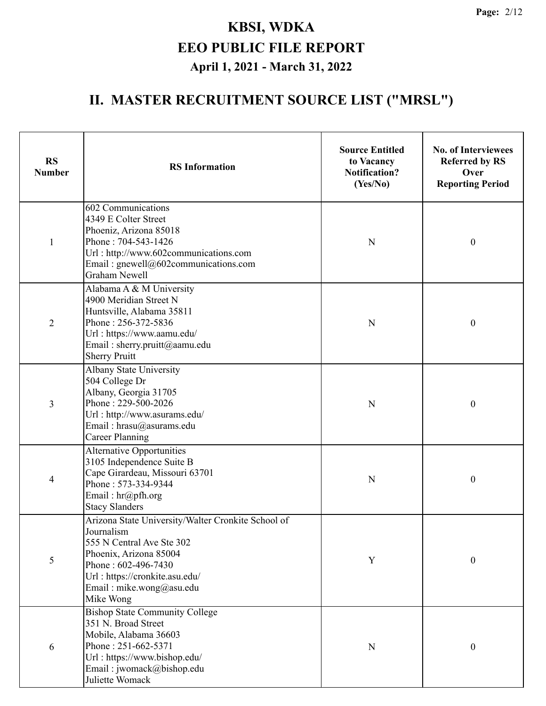| <b>RS</b><br><b>Number</b> | <b>RS</b> Information                                                                                                                                                                                                     | <b>Source Entitled</b><br>to Vacancy<br><b>Notification?</b><br>(Yes/No) | <b>No. of Interviewees</b><br><b>Referred by RS</b><br>Over<br><b>Reporting Period</b> |  |
|----------------------------|---------------------------------------------------------------------------------------------------------------------------------------------------------------------------------------------------------------------------|--------------------------------------------------------------------------|----------------------------------------------------------------------------------------|--|
| $\mathbf{1}$               | 602 Communications<br>4349 E Colter Street<br>Phoeniz, Arizona 85018<br>Phone: 704-543-1426<br>Url: http://www.602communications.com<br>Email: gnewell@602communications.com<br><b>Graham Newell</b>                      | N                                                                        | $\boldsymbol{0}$                                                                       |  |
| $\overline{2}$             | Alabama A & M University<br>4900 Meridian Street N<br>Huntsville, Alabama 35811<br>Phone: 256-372-5836<br>Url: https://www.aamu.edu/<br>Email: sherry.pruitt@aamu.edu<br><b>Sherry Pruitt</b>                             | $\mathbf N$                                                              | $\boldsymbol{0}$                                                                       |  |
| 3                          | Albany State University<br>504 College Dr<br>Albany, Georgia 31705<br>Phone: 229-500-2026<br>Url: http://www.asurams.edu/<br>Email: hrasu@asurams.edu<br><b>Career Planning</b>                                           | $\mathbf N$                                                              | $\boldsymbol{0}$                                                                       |  |
| $\overline{\mathcal{A}}$   | <b>Alternative Opportunities</b><br>3105 Independence Suite B<br>Cape Girardeau, Missouri 63701<br>Phone: 573-334-9344<br>Email: hr@pfh.org<br><b>Stacy Slanders</b>                                                      | $\mathbf N$                                                              | $\boldsymbol{0}$                                                                       |  |
| 5                          | Arizona State University/Walter Cronkite School of<br>Journalism<br>555 N Central Ave Ste 302<br>Phoenix, Arizona 85004<br>Phone: 602-496-7430<br>Url: https://cronkite.asu.edu/<br>Email: mike.wong@asu.edu<br>Mike Wong | $\mathbf Y$                                                              | $\boldsymbol{0}$                                                                       |  |
| 6                          | <b>Bishop State Community College</b><br>351 N. Broad Street<br>Mobile, Alabama 36603<br>Phone: 251-662-5371<br>Url: https://www.bishop.edu/<br>Email: jwomack@bishop.edu<br>Juliette Womack                              | N                                                                        | $\boldsymbol{0}$                                                                       |  |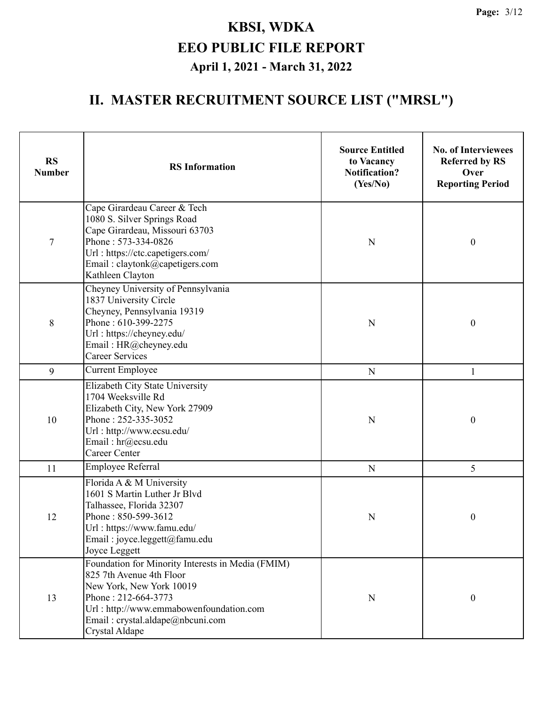| <b>RS</b><br><b>Number</b> | <b>RS</b> Information                                                                                                                                                                                                             | <b>Source Entitled</b><br>to Vacancy<br><b>Notification?</b><br>(Yes/No) | <b>No. of Interviewees</b><br><b>Referred by RS</b><br>Over<br><b>Reporting Period</b> |
|----------------------------|-----------------------------------------------------------------------------------------------------------------------------------------------------------------------------------------------------------------------------------|--------------------------------------------------------------------------|----------------------------------------------------------------------------------------|
| 7                          | Cape Girardeau Career & Tech<br>1080 S. Silver Springs Road<br>Cape Girardeau, Missouri 63703<br>Phone: 573-334-0826<br>Url: https://ctc.capetigers.com/<br>Email: claytonk@capetigers.com<br>Kathleen Clayton                    | N                                                                        | $\boldsymbol{0}$                                                                       |
| 8                          | Cheyney University of Pennsylvania<br>1837 University Circle<br>Cheyney, Pennsylvania 19319<br>Phone: 610-399-2275<br>Url: https://cheyney.edu/<br>Email: HR@cheyney.edu<br><b>Career Services</b>                                | N                                                                        | $\boldsymbol{0}$                                                                       |
| 9                          | <b>Current Employee</b>                                                                                                                                                                                                           | $\mathbf N$                                                              | 1                                                                                      |
| 10                         | Elizabeth City State University<br>1704 Weeksville Rd<br>Elizabeth City, New York 27909<br>Phone: 252-335-3052<br>Url: http://www.ecsu.edu/<br>Email: hr@ecsu.edu<br><b>Career Center</b>                                         | N                                                                        | $\boldsymbol{0}$                                                                       |
| 11                         | Employee Referral                                                                                                                                                                                                                 | ${\bf N}$                                                                | 5                                                                                      |
| 12                         | Florida A & M University<br>1601 S Martin Luther Jr Blvd<br>Talhassee, Florida 32307<br>Phone: 850-599-3612<br>Url: https://www.famu.edu/<br>Email: joyce.leggett@famu.edu<br>Joyce Leggett                                       |                                                                          | $\boldsymbol{0}$                                                                       |
| 13                         | Foundation for Minority Interests in Media (FMIM)<br>825 7th Avenue 4th Floor<br>New York, New York 10019<br>Phone: 212-664-3773<br>Url: http://www.emmabowenfoundation.com<br>Email: crystal.aldape@nbcuni.com<br>Crystal Aldape | $\mathbf N$                                                              | $\boldsymbol{0}$                                                                       |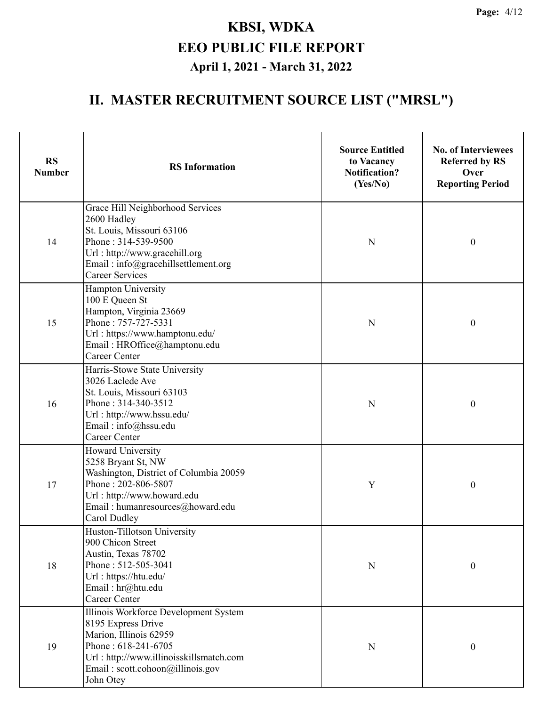| <b>RS</b><br><b>Number</b> | <b>RS</b> Information                                                                                                                                                                                    | <b>Source Entitled</b><br>to Vacancy<br><b>Notification?</b><br>(Yes/No) | <b>No. of Interviewees</b><br><b>Referred by RS</b><br>Over<br><b>Reporting Period</b> |
|----------------------------|----------------------------------------------------------------------------------------------------------------------------------------------------------------------------------------------------------|--------------------------------------------------------------------------|----------------------------------------------------------------------------------------|
| 14                         | Grace Hill Neighborhood Services<br>2600 Hadley<br>St. Louis, Missouri 63106<br>Phone: 314-539-9500<br>Url: http://www.gracehill.org<br>Email: info@gracehillsettlement.org<br><b>Career Services</b>    | N                                                                        | $\boldsymbol{0}$                                                                       |
| 15                         | Hampton University<br>100 E Queen St<br>Hampton, Virginia 23669<br>Phone: 757-727-5331<br>Url: https://www.hamptonu.edu/<br>Email: HROffice@hamptonu.edu<br><b>Career Center</b>                         | N                                                                        | $\boldsymbol{0}$                                                                       |
| 16                         | Harris-Stowe State University<br>3026 Laclede Ave<br>St. Louis, Missouri 63103<br>Phone: 314-340-3512<br>Url: http://www.hssu.edu/<br>Email: info@hssu.edu<br><b>Career Center</b>                       | N                                                                        | $\boldsymbol{0}$                                                                       |
| 17                         | <b>Howard University</b><br>5258 Bryant St, NW<br>Washington, District of Columbia 20059<br>Phone: 202-806-5807<br>Url: http://www.howard.edu<br>Email: humanresources@howard.edu<br>Carol Dudley        | Y                                                                        | $\boldsymbol{0}$                                                                       |
| 18                         | Huston-Tillotson University<br>900 Chicon Street<br>Austin, Texas 78702<br>Phone: 512-505-3041<br>Url: https://htu.edu/<br>Email: hr@htu.edu<br><b>Career Center</b>                                     | ${\bf N}$                                                                | $\boldsymbol{0}$                                                                       |
| 19                         | Illinois Workforce Development System<br>8195 Express Drive<br>Marion, Illinois 62959<br>Phone: 618-241-6705<br>Url: http://www.illinoisskillsmatch.com<br>Email: scott.cohoon@illinois.gov<br>John Otey | N                                                                        | $\boldsymbol{0}$                                                                       |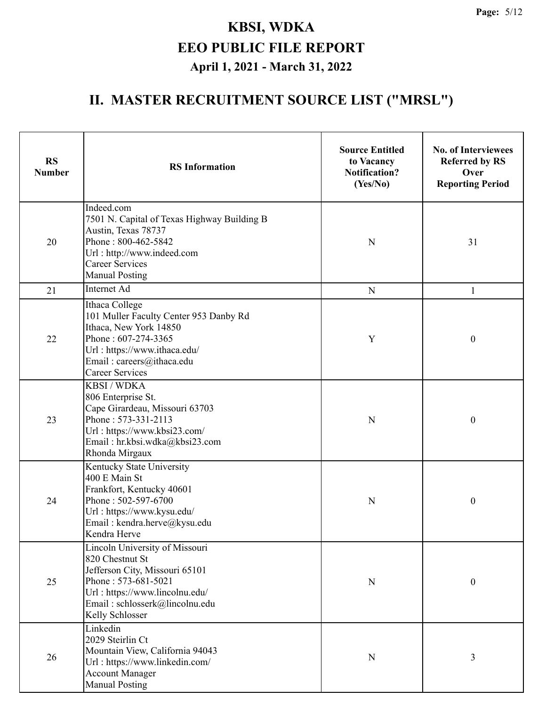| <b>RS</b><br><b>Number</b> | <b>RS</b> Information                                                                                                                                                                             | <b>Source Entitled</b><br>to Vacancy<br><b>Notification?</b><br>(Yes/No) | <b>No. of Interviewees</b><br><b>Referred by RS</b><br>Over<br><b>Reporting Period</b> |  |
|----------------------------|---------------------------------------------------------------------------------------------------------------------------------------------------------------------------------------------------|--------------------------------------------------------------------------|----------------------------------------------------------------------------------------|--|
| 20                         | Indeed.com<br>7501 N. Capital of Texas Highway Building B<br>Austin, Texas 78737<br>Phone: 800-462-5842<br>Url: http://www.indeed.com<br><b>Career Services</b><br><b>Manual Posting</b>          | ${\bf N}$                                                                | 31                                                                                     |  |
| 21                         | Internet Ad                                                                                                                                                                                       | ${\bf N}$                                                                | $\mathbf{1}$                                                                           |  |
| 22                         | Ithaca College<br>101 Muller Faculty Center 953 Danby Rd<br>Ithaca, New York 14850<br>Phone: 607-274-3365<br>Url: https://www.ithaca.edu/<br>Email: careers@ithaca.edu<br><b>Career Services</b>  | Y                                                                        | $\boldsymbol{0}$                                                                       |  |
| 23                         | <b>KBSI/WDKA</b><br>806 Enterprise St.<br>Cape Girardeau, Missouri 63703<br>Phone: 573-331-2113<br>Url: https://www.kbsi23.com/<br>Email: hr.kbsi.wdka@kbsi23.com<br>Rhonda Mirgaux               | ${\bf N}$                                                                | $\boldsymbol{0}$                                                                       |  |
| 24                         | Kentucky State University<br>400 E Main St<br>Frankfort, Kentucky 40601<br>Phone: 502-597-6700<br>Url: https://www.kysu.edu/<br>Email: kendra.herve@kysu.edu<br>Kendra Herve                      | N                                                                        | $\boldsymbol{0}$                                                                       |  |
| 25                         | Lincoln University of Missouri<br>820 Chestnut St<br>Jefferson City, Missouri 65101<br>Phone: 573-681-5021<br>Url: https://www.lincolnu.edu/<br>Email: schlosserk@lincolnu.edu<br>Kelly Schlosser | N                                                                        | $\boldsymbol{0}$                                                                       |  |
| 26                         | Linkedin<br>2029 Steirlin Ct<br>Mountain View, California 94043<br>Url: https://www.linkedin.com/<br><b>Account Manager</b><br><b>Manual Posting</b>                                              | $\mathbf N$                                                              | 3                                                                                      |  |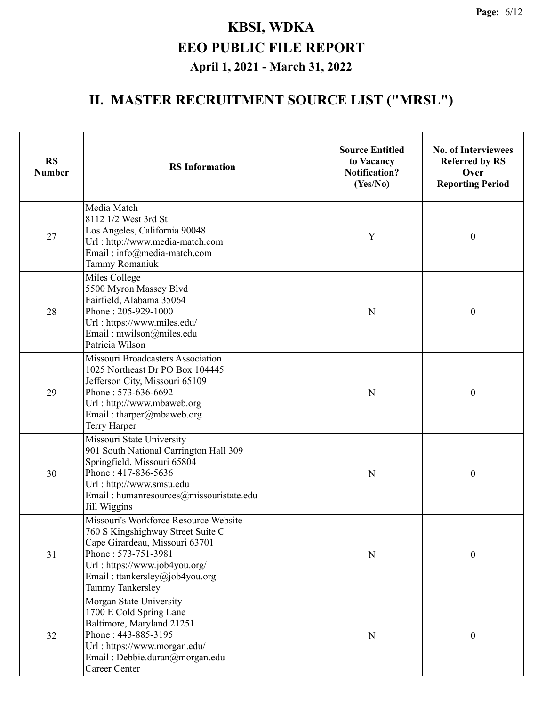| <b>RS</b><br><b>Number</b>                                                                                                                                                     | <b>RS</b> Information                                                                                                                                                                                                      | <b>Source Entitled</b><br>to Vacancy<br><b>Notification?</b><br>(Yes/No) | <b>No. of Interviewees</b><br><b>Referred by RS</b><br>Over<br><b>Reporting Period</b> |  |
|--------------------------------------------------------------------------------------------------------------------------------------------------------------------------------|----------------------------------------------------------------------------------------------------------------------------------------------------------------------------------------------------------------------------|--------------------------------------------------------------------------|----------------------------------------------------------------------------------------|--|
| 27                                                                                                                                                                             | Media Match<br>8112 1/2 West 3rd St<br>Los Angeles, California 90048<br>Url: http://www.media-match.com<br>Email: info@media-match.com<br>Tammy Romaniuk                                                                   | Y                                                                        | $\boldsymbol{0}$                                                                       |  |
| Miles College<br>5500 Myron Massey Blvd<br>Fairfield, Alabama 35064<br>Phone: 205-929-1000<br>28<br>Url: https://www.miles.edu/<br>Email: mwilson@miles.edu<br>Patricia Wilson |                                                                                                                                                                                                                            | N                                                                        | $\boldsymbol{0}$                                                                       |  |
| 29                                                                                                                                                                             | Missouri Broadcasters Association<br>1025 Northeast Dr PO Box 104445<br>Jefferson City, Missouri 65109<br>Phone: 573-636-6692<br>Url: http://www.mbaweb.org<br>Email: tharper@mbaweb.org<br>Terry Harper                   | N                                                                        | $\boldsymbol{0}$                                                                       |  |
| 30                                                                                                                                                                             | Missouri State University<br>901 South National Carrington Hall 309<br>Springfield, Missouri 65804<br>Phone: 417-836-5636<br>Url: http://www.smsu.edu<br>Email: humanresources@missouristate.edu<br>Jill Wiggins           | N                                                                        | $\boldsymbol{0}$                                                                       |  |
| 31                                                                                                                                                                             | Missouri's Workforce Resource Website<br>760 S Kingshighway Street Suite C<br>Cape Girardeau, Missouri 63701<br>Phone: 573-751-3981<br>Url: https://www.job4you.org/<br>Email: ttankersley@job4you.org<br>Tammy Tankersley | N                                                                        | $\boldsymbol{0}$                                                                       |  |
| 32                                                                                                                                                                             | Morgan State University<br>1700 E Cold Spring Lane<br>Baltimore, Maryland 21251<br>Phone: 443-885-3195<br>Url: https://www.morgan.edu/<br>Email: Debbie.duran@morgan.edu<br><b>Career Center</b>                           | N                                                                        | $\boldsymbol{0}$                                                                       |  |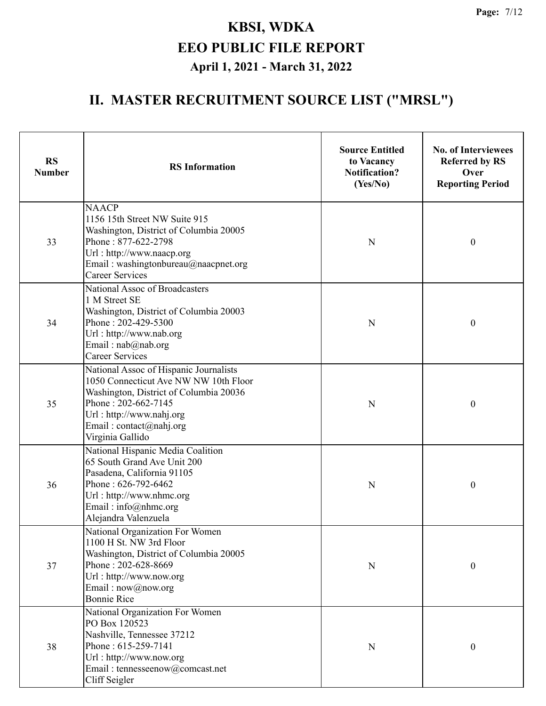| <b>RS</b><br><b>Number</b> | <b>RS</b> Information                                                                                                                                                                                                       | <b>Source Entitled</b><br>to Vacancy<br><b>Notification?</b><br>(Yes/No) | <b>No. of Interviewees</b><br><b>Referred by RS</b><br>Over<br><b>Reporting Period</b> |  |
|----------------------------|-----------------------------------------------------------------------------------------------------------------------------------------------------------------------------------------------------------------------------|--------------------------------------------------------------------------|----------------------------------------------------------------------------------------|--|
| 33                         | <b>NAACP</b><br>1156 15th Street NW Suite 915<br>Washington, District of Columbia 20005<br>Phone: 877-622-2798<br>Url: http://www.naacp.org<br>Email: washingtonbureau@naacpnet.org<br><b>Career Services</b>               | N                                                                        | $\boldsymbol{0}$                                                                       |  |
| 34                         | National Assoc of Broadcasters<br>1 M Street SE<br>Washington, District of Columbia 20003<br>Phone: 202-429-5300<br>Url: http://www.nab.org<br>Email: nab@nab.org<br>Career Services                                        | ${\bf N}$                                                                | $\boldsymbol{0}$                                                                       |  |
| 35                         | National Assoc of Hispanic Journalists<br>1050 Connecticut Ave NW NW 10th Floor<br>Washington, District of Columbia 20036<br>Phone: 202-662-7145<br>Url: http://www.nahj.org<br>Email: contact@nahj.org<br>Virginia Gallido | ${\bf N}$                                                                | $\boldsymbol{0}$                                                                       |  |
| 36                         | National Hispanic Media Coalition<br>65 South Grand Ave Unit 200<br>Pasadena, California 91105<br>Phone: 626-792-6462<br>Url: http://www.nhmc.org<br>Email: info@nhmc.org<br>Alejandra Valenzuela                           | N                                                                        | $\boldsymbol{0}$                                                                       |  |
| 37                         | National Organization For Women<br>1100 H St. NW 3rd Floor<br>Washington, District of Columbia 20005<br>Phone: 202-628-8669<br>Url: http://www.now.org<br>Email: now@now.org<br><b>Bonnie Rice</b>                          | ${\bf N}$                                                                | $\boldsymbol{0}$                                                                       |  |
| 38                         | National Organization For Women<br>PO Box 120523<br>Nashville, Tennessee 37212<br>Phone: 615-259-7141<br>Url: http://www.now.org<br>Email: tennesseenow@comcast.net<br>Cliff Seigler                                        | ${\bf N}$                                                                | $\boldsymbol{0}$                                                                       |  |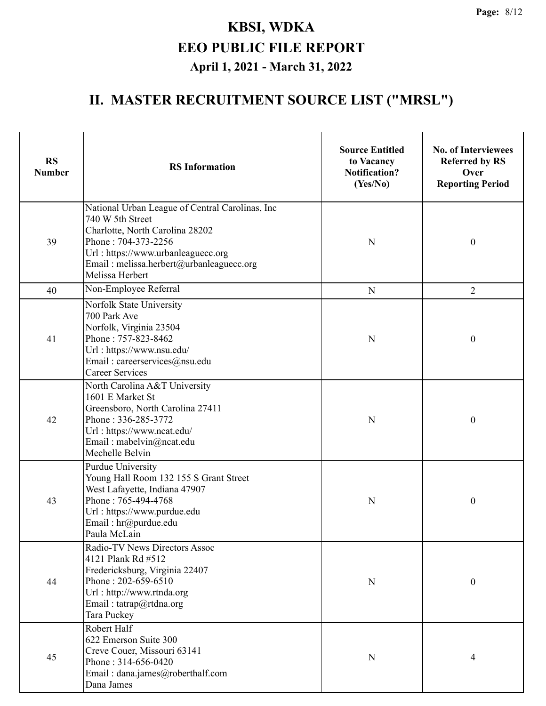| <b>RS</b><br><b>Number</b> | <b>RS</b> Information                                                                                                                                                                                                              | <b>Source Entitled</b><br>to Vacancy<br><b>Notification?</b><br>(Yes/No) | <b>No. of Interviewees</b><br><b>Referred by RS</b><br>Over<br><b>Reporting Period</b> |  |
|----------------------------|------------------------------------------------------------------------------------------------------------------------------------------------------------------------------------------------------------------------------------|--------------------------------------------------------------------------|----------------------------------------------------------------------------------------|--|
| 39                         | National Urban League of Central Carolinas, Inc<br>740 W 5th Street<br>Charlotte, North Carolina 28202<br>Phone: 704-373-2256<br>Url: https://www.urbanleaguecc.org<br>Email: melissa.herbert@urbanleaguecc.org<br>Melissa Herbert | N                                                                        | $\boldsymbol{0}$                                                                       |  |
| 40                         | Non-Employee Referral                                                                                                                                                                                                              | ${\bf N}$                                                                | $\overline{2}$                                                                         |  |
| 41                         | Norfolk State University<br>700 Park Ave<br>Norfolk, Virginia 23504<br>Phone: 757-823-8462<br>Url: https://www.nsu.edu/<br>Email: careerservices@nsu.edu<br><b>Career Services</b>                                                 | N                                                                        | $\boldsymbol{0}$                                                                       |  |
| 42                         | North Carolina A&T University<br>1601 E Market St<br>Greensboro, North Carolina 27411<br>Phone: 336-285-3772<br>Url: https://www.ncat.edu/<br>Email: mabelvin@ncat.edu<br>Mechelle Belvin                                          | N                                                                        | $\boldsymbol{0}$                                                                       |  |
| 43                         | <b>Purdue University</b><br>Young Hall Room 132 155 S Grant Street<br>West Lafayette, Indiana 47907<br>Phone: 765-494-4768<br>Url: https://www.purdue.edu<br>Email: hr@purdue.edu<br>Paula McLain                                  | N                                                                        | $\boldsymbol{0}$                                                                       |  |
| 44                         | Radio-TV News Directors Assoc<br>4121 Plank Rd #512<br>Fredericksburg, Virginia 22407<br>Phone: 202-659-6510<br>Url: http://www.rtnda.org<br>Email: tatrap@rtdna.org<br>Tara Puckey                                                | N                                                                        | $\boldsymbol{0}$                                                                       |  |
| 45                         | Robert Half<br>622 Emerson Suite 300<br>Creve Couer, Missouri 63141<br>Phone: 314-656-0420<br>Email: dana.james@roberthalf.com<br>Dana James                                                                                       | N                                                                        | 4                                                                                      |  |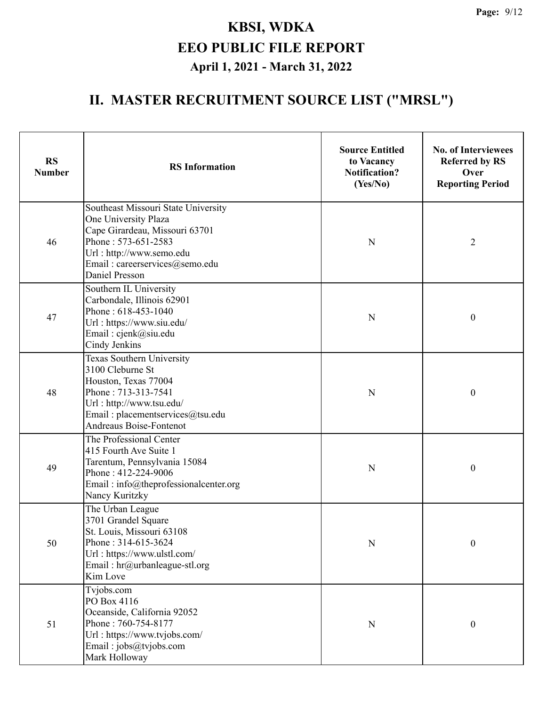| <b>RS</b><br><b>Number</b> | <b>RS</b> Information                                                                                                                                                                                       | <b>Source Entitled</b><br>to Vacancy<br><b>Notification?</b><br>(Yes/No) | <b>No. of Interviewees</b><br><b>Referred by RS</b><br>Over<br><b>Reporting Period</b> |  |
|----------------------------|-------------------------------------------------------------------------------------------------------------------------------------------------------------------------------------------------------------|--------------------------------------------------------------------------|----------------------------------------------------------------------------------------|--|
| 46                         | Southeast Missouri State University<br>One University Plaza<br>Cape Girardeau, Missouri 63701<br>Phone: 573-651-2583<br>Url: http://www.semo.edu<br>Email: careerservices@semo.edu<br><b>Daniel Presson</b> | N                                                                        | $\overline{2}$                                                                         |  |
| 47                         | Southern IL University<br>Carbondale, Illinois 62901<br>Phone: 618-453-1040<br>Url: https://www.siu.edu/<br>Email: cjenk@siu.edu<br>Cindy Jenkins                                                           | N                                                                        | $\boldsymbol{0}$                                                                       |  |
| 48                         | Texas Southern University<br>3100 Cleburne St<br>Houston, Texas 77004<br>Phone: 713-313-7541<br>Url: http://www.tsu.edu/<br>Email: placementservices@tsu.edu<br>Andreaus Boise-Fontenot                     | N                                                                        | $\boldsymbol{0}$                                                                       |  |
| 49                         | The Professional Center<br>415 Fourth Ave Suite 1<br>Tarentum, Pennsylvania 15084<br>Phone: 412-224-9006<br>Email: info@theprofessionalcenter.org<br>Nancy Kuritzky                                         | N                                                                        | $\boldsymbol{0}$                                                                       |  |
| 50                         | The Urban League<br>3701 Grandel Square<br>St. Louis, Missouri 63108<br>Phone: 314-615-3624<br>Url: https://www.ulstl.com/<br>Email: hr@urbanleague-stl.org<br>Kim Love                                     | ${\bf N}$                                                                | $\boldsymbol{0}$                                                                       |  |
| 51                         | Tvjobs.com<br>PO Box 4116<br>Oceanside, California 92052<br>Phone: 760-754-8177<br>Url: https://www.tvjobs.com/<br>Email: jobs@tvjobs.com<br>Mark Holloway                                                  | ${\bf N}$                                                                | $\boldsymbol{0}$                                                                       |  |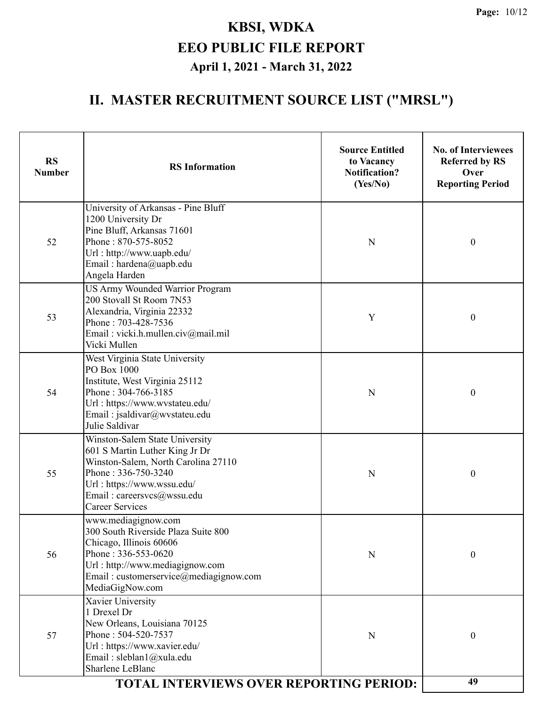| <b>RS</b><br><b>Number</b> | <b>RS</b> Information                                                                                                                                                                                                | <b>Source Entitled</b><br>to Vacancy<br><b>Notification?</b><br>(Yes/No) | <b>No. of Interviewees</b><br><b>Referred by RS</b><br>Over<br><b>Reporting Period</b> |  |
|----------------------------|----------------------------------------------------------------------------------------------------------------------------------------------------------------------------------------------------------------------|--------------------------------------------------------------------------|----------------------------------------------------------------------------------------|--|
| 52                         | University of Arkansas - Pine Bluff<br>1200 University Dr<br>Pine Bluff, Arkansas 71601<br>Phone: 870-575-8052<br>Url: http://www.uapb.edu/<br>Email: hardena@uapb.edu<br>Angela Harden                              | N                                                                        | $\boldsymbol{0}$                                                                       |  |
| 53                         | <b>US Army Wounded Warrior Program</b><br>200 Stovall St Room 7N53<br>Alexandria, Virginia 22332<br>Phone: 703-428-7536<br>Email: vicki.h.mullen.civ@mail.mil<br>Vicki Mullen                                        | Y                                                                        | $\boldsymbol{0}$                                                                       |  |
| 54                         | West Virginia State University<br>PO Box 1000<br>Institute, West Virginia 25112<br>Phone: 304-766-3185<br>Url: https://www.wvstateu.edu/<br>Email: jsaldivar@wvstateu.edu<br>Julie Saldivar                          | $\mathbf N$                                                              | $\boldsymbol{0}$                                                                       |  |
| 55                         | Winston-Salem State University<br>601 S Martin Luther King Jr Dr<br>Winston-Salem, North Carolina 27110<br>Phone: 336-750-3240<br>Url: https://www.wssu.edu/<br>Email: careersvcs@wssu.edu<br><b>Career Services</b> | N                                                                        | $\boldsymbol{0}$                                                                       |  |
| 56                         | www.mediagignow.com<br>300 South Riverside Plaza Suite 800<br>Chicago, Illinois 60606<br>Phone: 336-553-0620<br>Url: http://www.mediagignow.com<br>Email: customerservice@mediagignow.com<br>MediaGigNow.com         | N                                                                        | 0                                                                                      |  |
| 57                         | Xavier University<br>1 Drexel Dr<br>New Orleans, Louisiana 70125<br>Phone: 504-520-7537<br>Url: https://www.xavier.edu/<br>Email: sleblan1@xula.edu<br>Sharlene LeBlanc                                              | N                                                                        | 0                                                                                      |  |
|                            | <b>TOTAL INTERVIEWS OVER REPORTING PERIOD:</b>                                                                                                                                                                       |                                                                          | 49                                                                                     |  |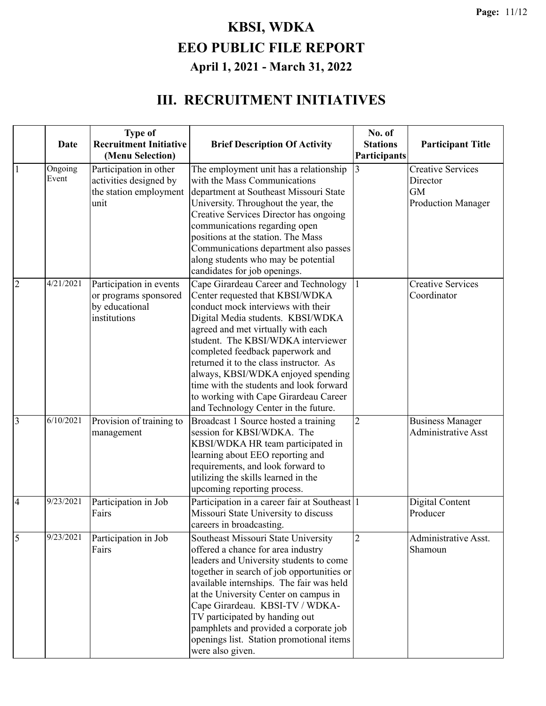#### **III. RECRUITMENT INITIATIVES**

|                | <b>Date</b>      | <b>Type of</b><br><b>Recruitment Initiative</b><br>(Menu Selection)                | <b>Brief Description Of Activity</b>                                                                                                                                                                                                                                                                                                                                                                                                                                            | No. of<br><b>Stations</b><br>Participants | <b>Participant Title</b>                                                       |
|----------------|------------------|------------------------------------------------------------------------------------|---------------------------------------------------------------------------------------------------------------------------------------------------------------------------------------------------------------------------------------------------------------------------------------------------------------------------------------------------------------------------------------------------------------------------------------------------------------------------------|-------------------------------------------|--------------------------------------------------------------------------------|
| $\mathbf{1}$   | Ongoing<br>Event | Participation in other<br>activities designed by<br>the station employment<br>unit | The employment unit has a relationship<br>with the Mass Communications<br>department at Southeast Missouri State<br>University. Throughout the year, the<br>Creative Services Director has ongoing<br>communications regarding open<br>positions at the station. The Mass<br>Communications department also passes<br>along students who may be potential<br>candidates for job openings.                                                                                       | 3                                         | <b>Creative Services</b><br>Director<br><b>GM</b><br><b>Production Manager</b> |
| $\overline{2}$ | 4/21/2021        | Participation in events<br>or programs sponsored<br>by educational<br>institutions | Cape Girardeau Career and Technology<br>Center requested that KBSI/WDKA<br>conduct mock interviews with their<br>Digital Media students. KBSI/WDKA<br>agreed and met virtually with each<br>student. The KBSI/WDKA interviewer<br>completed feedback paperwork and<br>returned it to the class instructor. As<br>always, KBSI/WDKA enjoyed spending<br>time with the students and look forward<br>to working with Cape Girardeau Career<br>and Technology Center in the future. |                                           | <b>Creative Services</b><br>Coordinator                                        |
| 3              | 6/10/2021        | Provision of training to<br>management                                             | Broadcast 1 Source hosted a training<br>session for KBSI/WDKA. The<br>KBSI/WDKA HR team participated in<br>learning about EEO reporting and<br>requirements, and look forward to<br>utilizing the skills learned in the<br>upcoming reporting process.                                                                                                                                                                                                                          | $\overline{2}$                            | <b>Business Manager</b><br><b>Administrative Asst</b>                          |
| $\overline{4}$ | 9/23/2021        | Participation in Job<br>Fairs                                                      | Participation in a career fair at Southeast 1<br>Missouri State University to discuss<br>careers in broadcasting.                                                                                                                                                                                                                                                                                                                                                               |                                           | Digital Content<br>Producer                                                    |
| 5              | 9/23/2021        | Participation in Job<br>Fairs                                                      | Southeast Missouri State University<br>offered a chance for area industry<br>leaders and University students to come<br>together in search of job opportunities or<br>available internships. The fair was held<br>at the University Center on campus in<br>Cape Girardeau. KBSI-TV / WDKA-<br>TV participated by handing out<br>pamphlets and provided a corporate job<br>openings list. Station promotional items<br>were also given.                                          | $\overline{2}$                            | Administrative Asst.<br>Shamoun                                                |